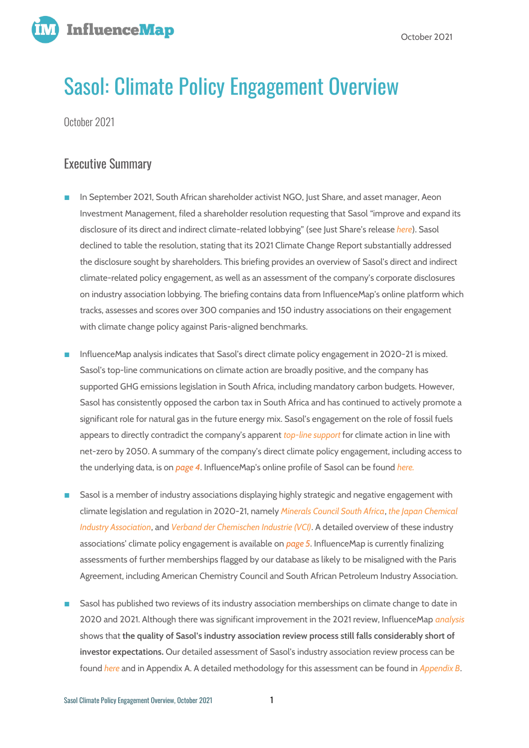

# Sasol: Climate Policy Engagement Overview

October 2021

## Executive Summary

- In September 2021, South African shareholder activist NGO, Just Share, and asset manager, Aeon Investment Management, filed a shareholder resolution requesting that Sasol "improve and expand its disclosure of its direct and indirect climate-related lobbying" (see Just Share's release *[here](https://justshare.org.za/media/news/sasol-shareholders-file-south-africas-first-climate-lobbying-resolution)*). Sasol declined to table the resolution, stating that its 2021 Climate Change Report substantially addressed the disclosure sought by shareholders. This briefing provides an overview of Sasol's direct and indirect climate-related policy engagement, as well as an assessment of the company's corporate disclosures on industry association lobbying. The briefing contains data from InfluenceMap's online platform which tracks, assesses and scores over 300 companies and 150 industry associations on their engagement with climate change policy against Paris-aligned benchmarks.
- InfluenceMap analysis indicates that Sasol's direct climate policy engagement in 2020-21 is mixed. Sasol's top-line communications on climate action are broadly positive, and the company has supported GHG emissions legislation in South Africa, including mandatory carbon budgets. However, Sasol has consistently opposed the carbon tax in South Africa and has continued to actively promote a significant role for natural gas in the future energy mix. Sasol's engagement on the role of fossil fuels appears to directly contradict the company's apparent *[top-line support](https://influencemap.org/evidence/45664bfb63d081c9bad182f42003aecf)* for climate action in line with net-zero by 2050. A summary of the company's direct climate policy engagement, including access to the underlying data, is on *page 4*. InfluenceMap's online profile of Sasol can be found *[here.](https://influencemap.org/company/Sasol-901b3e373efd487e596441367fe72a2c/projectlink/Sasol-In-Climate-Change)*
- Sasol is a member of industry associations displaying highly strategic and negative engagement with climate legislation and regulation in 2020-21, namely *[Minerals Council South Africa](https://influencemap.org/influencer/South-African-Chamber-of-Mines-d9fecc0ed7db4a809c71f3fc6a2b0cd6/projectlink/South-African-Chamber-of-Mines-in-Climate-Change-0013d7336a26e09316ed6b650a90faba)*, *[the Japan Chemical](https://influencemap.org/influencer/Japan-Chemical-Industry-Association-JCIA/projectlink/Japan-Chemical-Industry-Association-JCIA-In-Climate-Change)  [Industry Association](https://influencemap.org/influencer/Japan-Chemical-Industry-Association-JCIA/projectlink/Japan-Chemical-Industry-Association-JCIA-In-Climate-Change)*, and *[Verband der Chemischen Industrie \(VCI\)](https://influencemap.org/influencer/German-Chemical-Industry-Association-VCI/projectlink/German-Chemical-Industry-Association-VCI-In-Climate-Change)*. A detailed overview of these industry associations' climate policy engagement is available on *page 5*. InfluenceMap is currently finalizing assessments of further memberships flagged by our database as likely to be misaligned with the Paris Agreement, including American Chemistry Council and South African Petroleum Industry Association.
- Sasol has published two reviews of its industry association memberships on climate change to date in 2020 and 2021. Although there was significant improvement in the 2021 review, InfluenceMap *[analysis](https://influencemap.org/site/scorecards/Sasol-Review-Scorecard.pdf)*  shows that **the quality of Sasol's industry association review process still falls considerably short of investor expectations.** Our detailed assessment of Sasol's industry association review process can be found *[here](https://influencemap.org/site/scorecards/Sasol-Review-Scorecard.pdf)* and in Appendix A. A detailed methodology for this assessment can be found in *Appendix B*.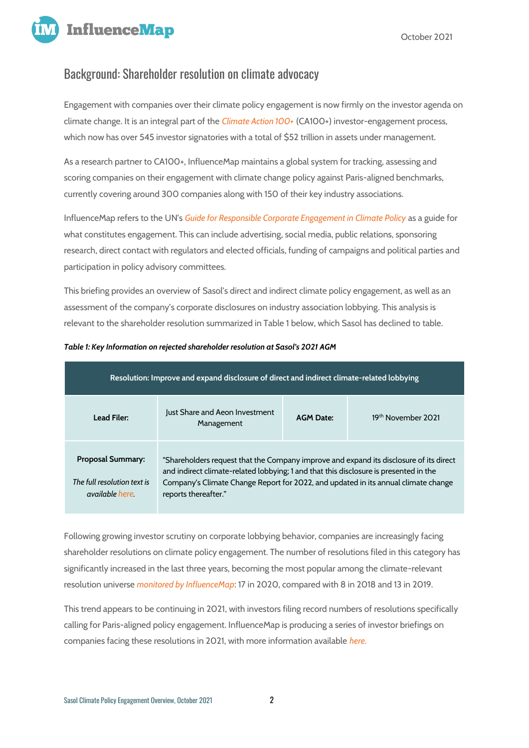

## Background: Shareholder resolution on climate advocacy

Engagement with companies over their climate policy engagement is now firmly on the investor agenda on climate change. It is an integral part of the *[Climate Action 100+](https://www.climateaction100.org/about/#_blank)* (CA100+) investor-engagement process, which now has over 545 investor signatories with a total of \$52 trillion in assets under management.

As a research partner to CA100+, InfluenceMap maintains a global system for tracking, assessing and scoring companies on their engagement with climate change policy against Paris-aligned benchmarks, currently covering around 300 companies along with 150 of their key industry associations.

InfluenceMap refers to the UN's *[Guide for Responsible Corporate Engagement in Climate Policy](https://www.unglobalcompact.org/library/501)* as a guide for what constitutes engagement. This can include advertising, social media, public relations, sponsoring research, direct contact with regulators and elected officials, funding of campaigns and political parties and participation in policy advisory committees.

This briefing provides an overview of Sasol's direct and indirect climate policy engagement, as well as an assessment of the company's corporate disclosures on industry association lobbying. This analysis is relevant to the shareholder resolution summarized in Table 1 below, which Sasol has declined to table.

| Resolution: Improve and expand disclosure of direct and indirect climate-related lobbying |                                                                                                                                                                                                                                                                                               |                  |                    |
|-------------------------------------------------------------------------------------------|-----------------------------------------------------------------------------------------------------------------------------------------------------------------------------------------------------------------------------------------------------------------------------------------------|------------------|--------------------|
| <b>Lead Filer:</b>                                                                        | Just Share and Aeon Investment<br>Management                                                                                                                                                                                                                                                  | <b>AGM Date:</b> | 19th November 2021 |
| <b>Proposal Summary:</b><br>The full resolution text is<br>available here                 | "Shareholders request that the Company improve and expand its disclosure of its direct<br>and indirect climate-related lobbying; 1 and that this disclosure is presented in the<br>Company's Climate Change Report for 2022, and updated in its annual climate change<br>reports thereafter." |                  |                    |

#### *Table 1: Key Information on rejected shareholder resolution at Sasol's 2021 AGM*

Following growing investor scrutiny on corporate lobbying behavior, companies are increasingly facing shareholder resolutions on climate policy engagement. The number of resolutions filed in this category has significantly increased in the last three years, becoming the most popular among the climate-relevant resolution universe *[monitored by InfluenceMap](https://financemap.org/resolution-list)*: 17 in 2020, compared with 8 in 2018 and 13 in 2019.

This trend appears to be continuing in 2021, with investors filing record numbers of resolutions specifically calling for Paris-aligned policy engagement. InfluenceMap is producing a series of investor briefings on companies facing these resolutions in 2021, with more information available *[here](https://influencemap.org/landing/Shareholder-Resolutions-773735dc958a2f2f2f44b972cc0c6e66)*.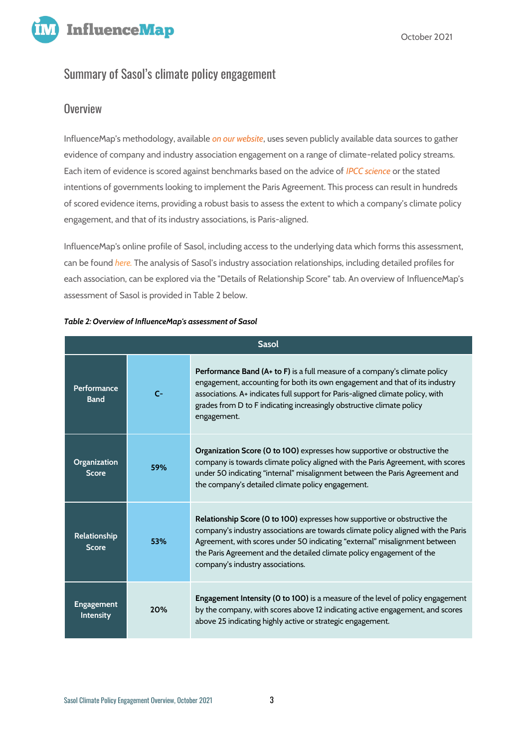



## Summary of Sasol's climate policy engagement

## **Overview**

InfluenceMap's methodology, available *[on our website](https://influencemap.org/page/Our-Methodology)*, uses seven publicly available data sources to gather evidence of company and industry association engagement on a range of climate-related policy streams. Each item of evidence is scored against benchmarks based on the advice of *[IPCC science](https://www.ipcc.ch/sr15/)* or the stated intentions of governments looking to implement the Paris Agreement. This process can result in hundreds of scored evidence items, providing a robust basis to assess the extent to which a company's climate policy engagement, and that of its industry associations, is Paris-aligned.

InfluenceMap's online profile of Sasol, including access to the underlying data which forms this assessment, can be found *[here.](https://influencemap.org/company/Sasol-901b3e373efd487e596441367fe72a2c/projectlink/Sasol-In-Climate-Change)* The analysis of Sasol's industry association relationships, including detailed profiles for each association, can be explored via the "Details of Relationship Score" tab. An overview of InfluenceMap's assessment of Sasol is provided in Table 2 below.

| <b>Sasol</b>                        |      |                                                                                                                                                                                                                                                                                                                                                           |
|-------------------------------------|------|-----------------------------------------------------------------------------------------------------------------------------------------------------------------------------------------------------------------------------------------------------------------------------------------------------------------------------------------------------------|
| Performance<br><b>Band</b>          | $C-$ | <b>Performance Band (A+ to F)</b> is a full measure of a company's climate policy<br>engagement, accounting for both its own engagement and that of its industry<br>associations. A+ indicates full support for Paris-aligned climate policy, with<br>grades from D to F indicating increasingly obstructive climate policy<br>engagement.                |
| <b>Organization</b><br><b>Score</b> | 59%  | <b>Organization Score (0 to 100)</b> expresses how supportive or obstructive the<br>company is towards climate policy aligned with the Paris Agreement, with scores<br>under 50 indicating "internal" misalignment between the Paris Agreement and<br>the company's detailed climate policy engagement.                                                   |
| Relationship<br><b>Score</b>        | 53%  | Relationship Score (0 to 100) expresses how supportive or obstructive the<br>company's industry associations are towards climate policy aligned with the Paris<br>Agreement, with scores under 50 indicating "external" misalignment between<br>the Paris Agreement and the detailed climate policy engagement of the<br>company's industry associations. |
| <b>Engagement</b><br>Intensity      | 20%  | Engagement Intensity (0 to 100) is a measure of the level of policy engagement<br>by the company, with scores above 12 indicating active engagement, and scores<br>above 25 indicating highly active or strategic engagement.                                                                                                                             |

#### *Table 2: Overview of InfluenceMap's assessment of Sasol*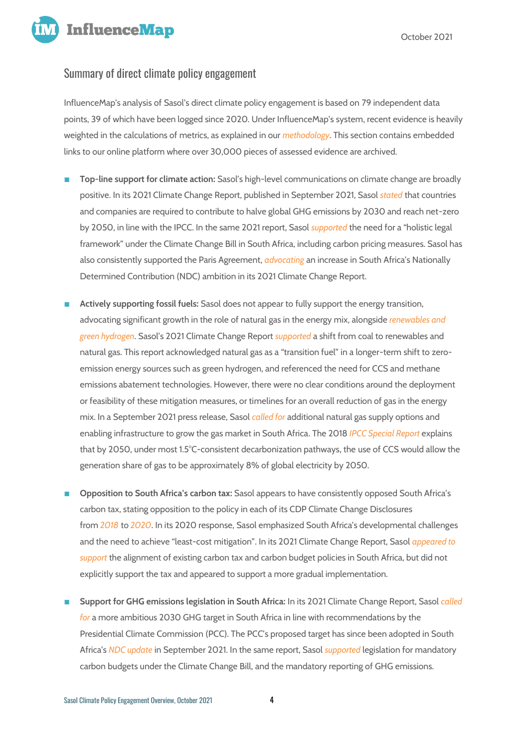

October 2021

## Summary of direct climate policy engagement

InfluenceMap's analysis of Sasol's direct climate policy engagement is based on 79 independent data points, 39 of which have been logged since 2020. Under InfluenceMap's system, recent evidence is heavily weighted in the calculations of metrics, as explained in our *[methodology](https://influencemap.org/page/Our-Methodology)*. This section contains embedded links to our online platform where over 30,000 pieces of assessed evidence are archived.

- **Top-line support for climate action:** Sasol's high-level communications on climate change are broadly positive. In its 2021 Climate Change Report, published in September 2021, Sasol *[stated](https://influencemap.org/evidence/45664bfb63d081c9bad182f42003aecf)* that countries and companies are required to contribute to halve global GHG emissions by 2030 and reach net-zero by 2050, in line with the IPCC. In the same 2021 report, Sasol *[supported](https://influencemap.org/evidence/028039e6cee41c074b2b5414e4d1c057)* the need for a "holistic legal framework" under the Climate Change Bill in South Africa, including carbon pricing measures. Sasol has also consistently supported the Paris Agreement, *[advocating](https://influencemap.org/evidence/0c5d547716d5bbcb3f5f46587b0982f2)* an increase in South Africa's Nationally Determined Contribution (NDC) ambition in its 2021 Climate Change Report.
- Actively supporting fossil fuels: Sasol does not appear to fully support the energy transition, advocating significant growth in the role of natural gas in the energy mix, alongside *[renewables and](https://influencemap.org/evidence/e4c5495dd94497192e7663384333dd8c)  [green hydrogen](https://influencemap.org/evidence/e4c5495dd94497192e7663384333dd8c)*. Sasol's 2021 Climate Change Report *[supported](https://influencemap.org/evidence/b9371d7c00372b31170171fb901fbb6e)* a shift from coal to renewables and natural gas. This report acknowledged natural gas as a "transition fuel" in a longer-term shift to zeroemission energy sources such as green hydrogen, and referenced the need for CCS and methane emissions abatement technologies. However, there were no clear conditions around the deployment or feasibility of these mitigation measures, or timelines for an overall reduction of gas in the energy mix. In a September 2021 press release, Sasol *[called for](https://influencemap.org/evidence/2e56e473c8e0b9ab733211bb9c7959af)* additional natural gas supply options and enabling infrastructure to grow the gas market in South Africa. The 2018 *[IPCC Special Report](https://www.ipcc.ch/sr15/)* explains that by 2050, under most 1.5°C-consistent decarbonization pathways, the use of CCS would allow the generation share of gas to be approximately 8% of global electricity by 2050.
- **Opposition to South Africa's carbon tax:** Sasol appears to have consistently opposed South Africa's carbon tax, stating opposition to the policy in each of its CDP Climate Change Disclosures from *[2018](https://influencemap.org/evidence/-c864df9b4c2d2e9202b07f1904e60a98)* to *[2020](https://influencemap.org/evidence/-4910f249eecbfd0144068a4af54f25d5)*. In its 2020 response, Sasol emphasized South Africa's developmental challenges and the need to achieve "least-cost mitigation". In its 2021 Climate Change Report, Sasol *[appeared to](https://influencemap.org/evidence/27b122c4e541fac571cd57ba18c09f37)  [support](https://influencemap.org/evidence/27b122c4e541fac571cd57ba18c09f37)* the alignment of existing carbon tax and carbon budget policies in South Africa, but did not explicitly support the tax and appeared to support a more gradual implementation.
- **Support for GHG emissions legislation in South Africa:** In its 2021 Climate Change Report, Sasol *[called](https://influencemap.org/evidence/a7a9597a516d97e2d4e1c7d1e0ffbb98)  [for](https://influencemap.org/evidence/a7a9597a516d97e2d4e1c7d1e0ffbb98)* a more ambitious 2030 GHG target in South Africa in line with recommendations by the Presidential Climate Commission (PCC). The PCC's proposed target has since been adopted in South Africa's *[NDC update](https://www4.unfccc.int/sites/ndcstaging/PublishedDocuments/South%20Africa%20First/South%20Africa%20updated%20first%20NDC%20September%202021.pdf)* in September 2021. In the same report, Sasol *[supported](https://influencemap.org/evidence/b89fee86161ad28430991d1ee00f71c4)* legislation for mandatory carbon budgets under the Climate Change Bill, and the mandatory reporting of GHG emissions.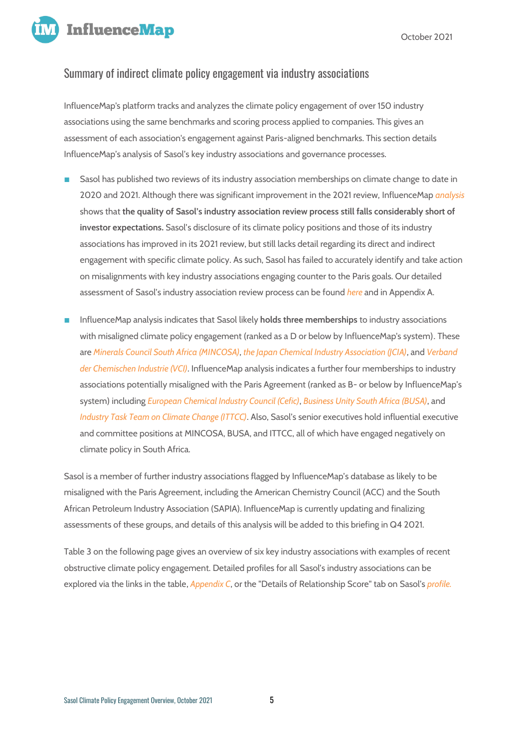**InfluenceMap** 

## Summary of indirect climate policy engagement via industry associations

InfluenceMap's platform tracks and analyzes the climate policy engagement of over 150 industry associations using the same benchmarks and scoring process applied to companies. This gives an assessment of each association's engagement against Paris-aligned benchmarks. This section details InfluenceMap's analysis of Sasol's key industry associations and governance processes.

- Sasol has published two reviews of its industry association memberships on climate change to date in 2020 and 2021. Although there was significant improvement in the 2021 review, InfluenceMap *[analysis](https://influencemap.org/site/scorecards/Sasol-Review-Scorecard.pdf)*  shows that **the quality of Sasol's industry association review process still falls considerably short of investor expectations.** Sasol's disclosure of its climate policy positions and those of its industry associations has improved in its 2021 review, but still lacks detail regarding its direct and indirect engagement with specific climate policy. As such, Sasol has failed to accurately identify and take action on misalignments with key industry associations engaging counter to the Paris goals. Our detailed assessment of Sasol's industry association review process can be found *[here](https://influencemap.org/site/scorecards/Sasol-Review-Scorecard.pdf)* and in Appendix A.
- InfluenceMap analysis indicates that Sasol likely **holds three memberships** to industry associations with misaligned climate policy engagement (ranked as a D or below by InfluenceMap's system). These are *[Minerals Council South Africa \(MINCOSA\)](https://influencemap.org/influencer/South-African-Chamber-of-Mines-d9fecc0ed7db4a809c71f3fc6a2b0cd6/projectlink/South-African-Chamber-of-Mines-in-Climate-Change-0013d7336a26e09316ed6b650a90faba)*, *[the Japan Chemical Industry Association \(JCIA\)](https://influencemap.org/influencer/Japan-Chemical-Industry-Association-JCIA/projectlink/Japan-Chemical-Industry-Association-JCIA-In-Climate-Change)*, and *[Verband](https://influencemap.org/influencer/German-Chemical-Industry-Association-VCI/projectlink/German-Chemical-Industry-Association-VCI-In-Climate-Change)  [der Chemischen Industrie \(VCI\)](https://influencemap.org/influencer/German-Chemical-Industry-Association-VCI/projectlink/German-Chemical-Industry-Association-VCI-In-Climate-Change)*. InfluenceMap analysis indicates a further four memberships to industry associations potentially misaligned with the Paris Agreement (ranked as B- or below by InfluenceMap's system) including *[European Chemical Industry Council \(Cefic\)](https://influencemap.org/influencer/CEFIC-d9d3710f40561dc4376930da7e0c5942/projectlink/European-Chemical-Industry-Council-CEFIC-In-Climate-Change)*, *[Business Unity South Africa \(BUSA\)](https://influencemap.org/influencer/Business-Unity-South-Africa-BUSA-1d7c6580502e072741174a1d7d09c4b1/projectlink/Business-Unity-South-Africa-BUSA-in-Climate-Change-7ec7ce7b31bb6f03d4b269cc5317bb87)*, and *[Industry Task Team on Climate Change \(ITTCC\)](https://influencemap.org/influencer/Industry-Task-Team-on-Climate-Change-05393ae1544bc136c3aab40a5b6c8729/projectlink/Industry-Task-Team-on-Climate-Change-in-Climate-Change-e14e3211ae9af54455c8fd6d054c2757)*. Also, Sasol's senior executives hold influential executive and committee positions at MINCOSA, BUSA, and ITTCC, all of which have engaged negatively on climate policy in South Africa.

Sasol is a member of further industry associations flagged by InfluenceMap's database as likely to be misaligned with the Paris Agreement, including the American Chemistry Council (ACC) and the South African Petroleum Industry Association (SAPIA). InfluenceMap is currently updating and finalizing assessments of these groups, and details of this analysis will be added to this briefing in Q4 2021.

Table 3 on the following page gives an overview of six key industry associations with examples of recent obstructive climate policy engagement. Detailed profiles for all Sasol's industry associations can be explored via the links in the table, *Appendix C*, or the "Details of Relationship Score" tab on Sasol's *[profile.](https://influencemap.org/company/Sasol-901b3e373efd487e596441367fe72a2c/projectlink/Sasol-In-Climate-Change)*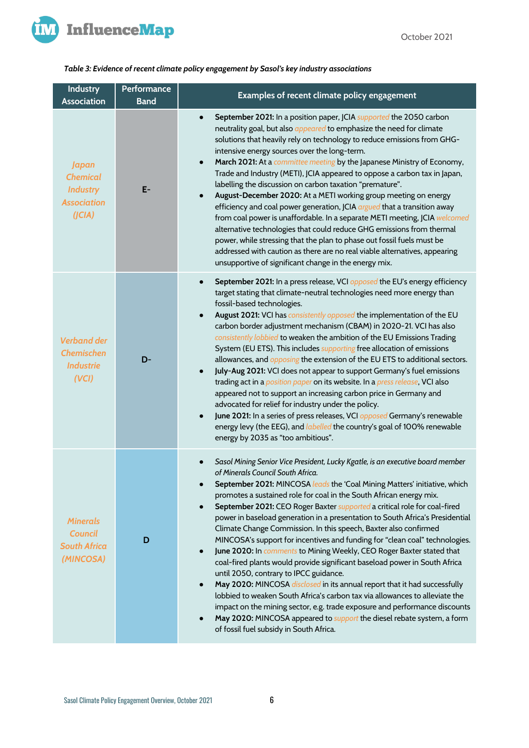

#### *Table 3: Evidence of recent climate policy engagement by Sasol's key industry associations*

| <b>Industry</b><br><b>Association</b>                                              | Performance<br><b>Band</b> | Examples of recent climate policy engagement                                                                                                                                                                                                                                                                                                                                                                                                                                                                                                                                                                                                                                                                                                                                                                                                                                                                                                                                                                                                                                                                                                                                                           |  |
|------------------------------------------------------------------------------------|----------------------------|--------------------------------------------------------------------------------------------------------------------------------------------------------------------------------------------------------------------------------------------------------------------------------------------------------------------------------------------------------------------------------------------------------------------------------------------------------------------------------------------------------------------------------------------------------------------------------------------------------------------------------------------------------------------------------------------------------------------------------------------------------------------------------------------------------------------------------------------------------------------------------------------------------------------------------------------------------------------------------------------------------------------------------------------------------------------------------------------------------------------------------------------------------------------------------------------------------|--|
| <b>Japan</b><br><b>Chemical</b><br><b>Industry</b><br><b>Association</b><br>(JCIA) | $E-$                       | September 2021: In a position paper, JCIA supported the 2050 carbon<br>$\bullet$<br>neutrality goal, but also <i>appeared</i> to emphasize the need for climate<br>solutions that heavily rely on technology to reduce emissions from GHG-<br>intensive energy sources over the long-term.<br>March 2021: At a committee meeting by the Japanese Ministry of Economy,<br>$\bullet$<br>Trade and Industry (METI), JCIA appeared to oppose a carbon tax in Japan,<br>labelling the discussion on carbon taxation "premature".<br>August-December 2020: At a METI working group meeting on energy<br>$\bullet$<br>efficiency and coal power generation, JCIA argued that a transition away<br>from coal power is unaffordable. In a separate METI meeting, JCIA welcomed<br>alternative technologies that could reduce GHG emissions from thermal<br>power, while stressing that the plan to phase out fossil fuels must be<br>addressed with caution as there are no real viable alternatives, appearing<br>unsupportive of significant change in the energy mix.                                                                                                                                        |  |
| <b>Verband der</b><br><b>Chemischen</b><br><b>Industrie</b><br>(VCI)               | D-                         | September 2021: In a press release, VCI opposed the EU's energy efficiency<br>$\bullet$<br>target stating that climate-neutral technologies need more energy than<br>fossil-based technologies.<br>August 2021: VCI has consistently opposed the implementation of the EU<br>$\bullet$<br>carbon border adjustment mechanism (CBAM) in 2020-21. VCI has also<br>consistently lobbied to weaken the ambition of the EU Emissions Trading<br>System (EU ETS). This includes <i>supporting</i> free allocation of emissions<br>allowances, and <i>opposing</i> the extension of the EU ETS to additional sectors.<br>July-Aug 2021: VCI does not appear to support Germany's fuel emissions<br>$\bullet$<br>trading act in a <i>position paper</i> on its website. In a <i>press release</i> , VCI also<br>appeared not to support an increasing carbon price in Germany and<br>advocated for relief for industry under the policy.<br>June 2021: In a series of press releases, VCI opposed Germany's renewable<br>$\bullet$<br>energy levy (the EEG), and <i>labelled</i> the country's goal of 100% renewable<br>energy by 2035 as "too ambitious".                                                    |  |
| <b>Minerals</b><br><b>Council</b><br><b>South Africa</b><br>(MINCOSA)              | D                          | Sasol Mining Senior Vice President, Lucky Kgatle, is an executive board member<br>of Minerals Council South Africa.<br>September 2021: MINCOSA leads the 'Coal Mining Matters' initiative, which<br>promotes a sustained role for coal in the South African energy mix.<br>September 2021: CEO Roger Baxter supported a critical role for coal-fired<br>power in baseload generation in a presentation to South Africa's Presidential<br>Climate Change Commission. In this speech, Baxter also confirmed<br>MINCOSA's support for incentives and funding for "clean coal" technologies.<br>June 2020: In comments to Mining Weekly, CEO Roger Baxter stated that<br>$\bullet$<br>coal-fired plants would provide significant baseload power in South Africa<br>until 2050, contrary to IPCC guidance.<br>May 2020: MINCOSA disclosed in its annual report that it had successfully<br>$\bullet$<br>lobbied to weaken South Africa's carbon tax via allowances to alleviate the<br>impact on the mining sector, e.g. trade exposure and performance discounts<br>May 2020: MINCOSA appeared to <i>support</i> the diesel rebate system, a form<br>$\bullet$<br>of fossil fuel subsidy in South Africa. |  |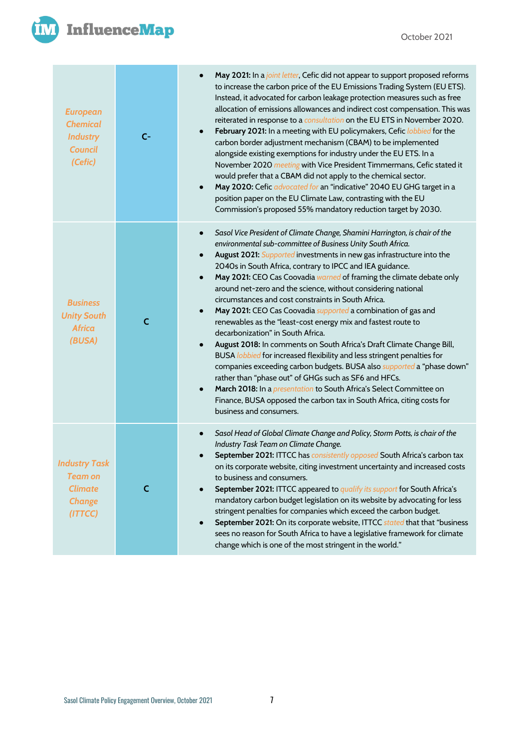



| <b>European</b><br><b>Chemical</b><br><b>Industry</b><br><b>Council</b><br>(Cefic)   | $C-$         | May 2021: In a joint letter, Cefic did not appear to support proposed reforms<br>$\bullet$<br>to increase the carbon price of the EU Emissions Trading System (EU ETS).<br>Instead, it advocated for carbon leakage protection measures such as free<br>allocation of emissions allowances and indirect cost compensation. This was<br>reiterated in response to a consultation on the EU ETS in November 2020.<br>February 2021: In a meeting with EU policymakers, Cefic lobbied for the<br>$\bullet$<br>carbon border adjustment mechanism (CBAM) to be implemented<br>alongside existing exemptions for industry under the EU ETS. In a<br>November 2020 meeting with Vice President Timmermans, Cefic stated it<br>would prefer that a CBAM did not apply to the chemical sector.<br>May 2020: Cefic advocated for an "indicative" 2040 EU GHG target in a<br>$\bullet$<br>position paper on the EU Climate Law, contrasting with the EU<br>Commission's proposed 55% mandatory reduction target by 2030.                                                                                                                                                                                                  |
|--------------------------------------------------------------------------------------|--------------|-----------------------------------------------------------------------------------------------------------------------------------------------------------------------------------------------------------------------------------------------------------------------------------------------------------------------------------------------------------------------------------------------------------------------------------------------------------------------------------------------------------------------------------------------------------------------------------------------------------------------------------------------------------------------------------------------------------------------------------------------------------------------------------------------------------------------------------------------------------------------------------------------------------------------------------------------------------------------------------------------------------------------------------------------------------------------------------------------------------------------------------------------------------------------------------------------------------------|
| <b>Business</b><br><b>Unity South</b><br><b>Africa</b><br>(BUSA)                     | $\mathsf{C}$ | Sasol Vice President of Climate Change, Shamini Harrington, is chair of the<br>$\bullet$<br>environmental sub-committee of Business Unity South Africa.<br>August 2021: Supported investments in new gas infrastructure into the<br>$\bullet$<br>2040s in South Africa, contrary to IPCC and IEA guidance.<br>May 2021: CEO Cas Coovadia warned of framing the climate debate only<br>$\bullet$<br>around net-zero and the science, without considering national<br>circumstances and cost constraints in South Africa.<br>May 2021: CEO Cas Coovadia supported a combination of gas and<br>$\bullet$<br>renewables as the "least-cost energy mix and fastest route to<br>decarbonization" in South Africa.<br>August 2018: In comments on South Africa's Draft Climate Change Bill,<br>$\bullet$<br>BUSA lobbied for increased flexibility and less stringent penalties for<br>companies exceeding carbon budgets. BUSA also <i>supported</i> a "phase down"<br>rather than "phase out" of GHGs such as SF6 and HFCs.<br>March 2018: In a presentation to South Africa's Select Committee on<br>$\bullet$<br>Finance, BUSA opposed the carbon tax in South Africa, citing costs for<br>business and consumers. |
| <b>Industry Task</b><br><b>Team on</b><br><b>Climate</b><br><b>Change</b><br>(ITTCC) | C            | Sasol Head of Global Climate Change and Policy, Storm Potts, is chair of the<br>$\bullet$<br>Industry Task Team on Climate Change.<br>September 2021: ITTCC has consistently opposed South Africa's carbon tax<br>on its corporate website, citing investment uncertainty and increased costs<br>to business and consumers.<br>September 2021: ITTCC appeared to qualify its support for South Africa's<br>mandatory carbon budget legislation on its website by advocating for less<br>stringent penalties for companies which exceed the carbon budget.<br>September 2021: On its corporate website, ITTCC stated that that "business<br>sees no reason for South Africa to have a legislative framework for climate<br>change which is one of the most stringent in the world."                                                                                                                                                                                                                                                                                                                                                                                                                              |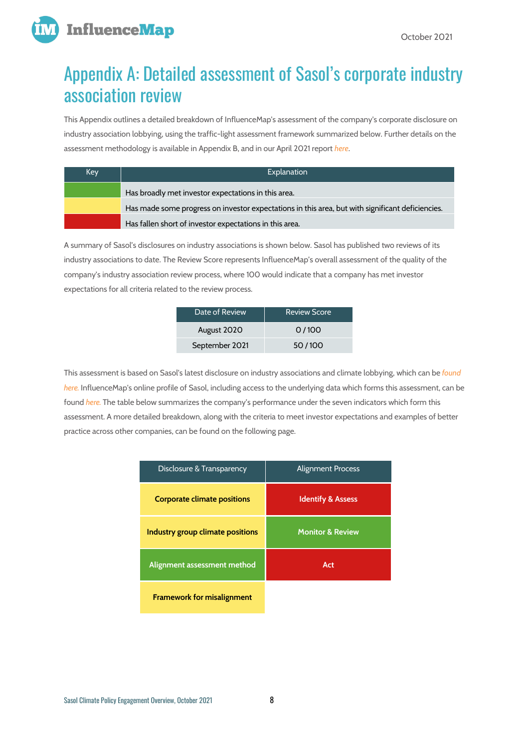

# Appendix A: Detailed assessment of Sasol's corporate industry association review

This Appendix outlines a detailed breakdown of InfluenceMap's assessment of the company's corporate disclosure on industry association lobbying, using the traffic-light assessment framework summarized below. Further details on the assessment methodology is available in Appendix B, and in our April 2021 report *[here](https://influencemap.org/report/Testing-adf92ac36a894ebf9d987a0b5c2ff6e1)*.

| Key. | Explanation                                                                                      |
|------|--------------------------------------------------------------------------------------------------|
|      | Has broadly met investor expectations in this area.                                              |
|      | Has made some progress on investor expectations in this area, but with significant deficiencies. |
|      | Has fallen short of investor expectations in this area.                                          |

A summary of Sasol's disclosures on industry associations is shown below. Sasol has published two reviews of its industry associations to date. The Review Score represents InfluenceMap's overall assessment of the quality of the company's industry association review process, where 100 would indicate that a company has met investor expectations for all criteria related to the review process.

| Date of Review | <b>Review Score</b> |
|----------------|---------------------|
| August 2020    | 0/100               |
| September 2021 | 50/100              |

This assessment is based on Sasol's latest disclosure on industry associations and climate lobbying, which can be *[found](https://www.sasol.com/sites/default/files/financial_reports/Sasol%20Climate%20Change%20Report_2021_22Sep21.pdf)  [here.](https://www.sasol.com/sites/default/files/financial_reports/Sasol%20Climate%20Change%20Report_2021_22Sep21.pdf)* InfluenceMap's online profile of Sasol, including access to the underlying data which forms this assessment, can be found *[here.](https://influencemap.org/company/Sasol-901b3e373efd487e596441367fe72a2c/projectlink/Sasol-In-Climate-Change)* The table below summarizes the company's performance under the seven indicators which form this assessment. A more detailed breakdown, along with the criteria to meet investor expectations and examples of better practice across other companies, can be found on the following page.

| Disclosure & Transparency          | <b>Alignment Process</b>     |
|------------------------------------|------------------------------|
| <b>Corporate climate positions</b> | <b>Identify &amp; Assess</b> |
| Industry group climate positions   | <b>Monitor &amp; Review</b>  |
| Alignment assessment method        | Act                          |
| <b>Framework for misalignment</b>  |                              |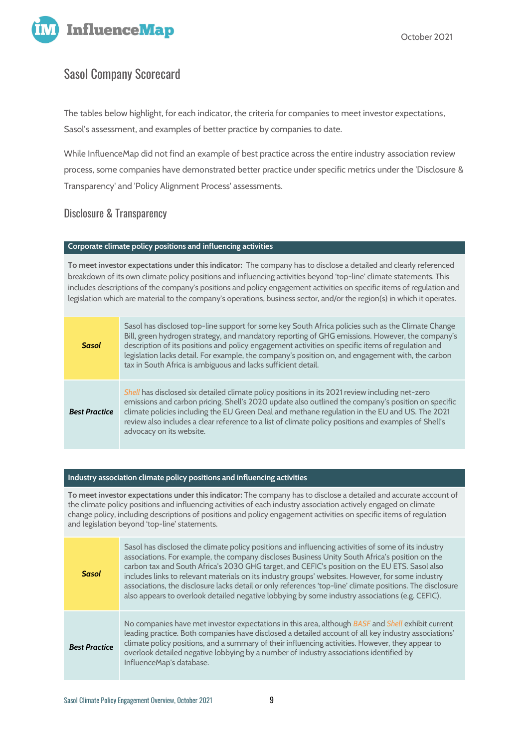

## Sasol Company Scorecard

The tables below highlight, for each indicator, the criteria for companies to meet investor expectations, Sasol's assessment, and examples of better practice by companies to date.

While InfluenceMap did not find an example of best practice across the entire industry association review process, some companies have demonstrated better practice under specific metrics under the 'Disclosure & Transparency' and 'Policy Alignment Process' assessments.

### Disclosure & Transparency

#### **Corporate climate policy positions and influencing activities**

**To meet investor expectations under this indicator:** The company has to disclose a detailed and clearly referenced breakdown of its own climate policy positions and influencing activities beyond 'top-line' climate statements. This includes descriptions of the company's positions and policy engagement activities on specific items of regulation and legislation which are material to the company's operations, business sector, and/or the region(s) in which it operates.

| Sasol                | Sasol has disclosed top-line support for some key South Africa policies such as the Climate Change<br>Bill, green hydrogen strategy, and mandatory reporting of GHG emissions. However, the company's<br>description of its positions and policy engagement activities on specific items of regulation and<br>legislation lacks detail. For example, the company's position on, and engagement with, the carbon<br>tax in South Africa is ambiguous and lacks sufficient detail. |
|----------------------|----------------------------------------------------------------------------------------------------------------------------------------------------------------------------------------------------------------------------------------------------------------------------------------------------------------------------------------------------------------------------------------------------------------------------------------------------------------------------------|
| <b>Best Practice</b> | Shell has disclosed six detailed climate policy positions in its 2021 review including net-zero<br>emissions and carbon pricing. Shell's 2020 update also outlined the company's position on specific<br>climate policies including the EU Green Deal and methane regulation in the EU and US. The 2021<br>review also includes a clear reference to a list of climate policy positions and examples of Shell's<br>advocacy on its website.                                      |

#### **Industry association climate policy positions and influencing activities**

**To meet investor expectations under this indicator:** The company has to disclose a detailed and accurate account of the climate policy positions and influencing activities of each industry association actively engaged on climate change policy, including descriptions of positions and policy engagement activities on specific items of regulation and legislation beyond 'top-line' statements.

| <b>Sasol</b>         | Sasol has disclosed the climate policy positions and influencing activities of some of its industry<br>associations. For example, the company discloses Business Unity South Africa's position on the<br>carbon tax and South Africa's 2030 GHG target, and CEFIC's position on the EU ETS. Sasol also<br>includes links to relevant materials on its industry groups' websites. However, for some industry<br>associations, the disclosure lacks detail or only references 'top-line' climate positions. The disclosure<br>also appears to overlook detailed negative lobbying by some industry associations (e.g. CEFIC). |
|----------------------|-----------------------------------------------------------------------------------------------------------------------------------------------------------------------------------------------------------------------------------------------------------------------------------------------------------------------------------------------------------------------------------------------------------------------------------------------------------------------------------------------------------------------------------------------------------------------------------------------------------------------------|
| <b>Best Practice</b> | No companies have met investor expectations in this area, although BASF and Shell exhibit current<br>leading practice. Both companies have disclosed a detailed account of all key industry associations'<br>climate policy positions, and a summary of their influencing activities. However, they appear to<br>overlook detailed negative lobbying by a number of industry associations identified by<br>InfluenceMap's database.                                                                                                                                                                                         |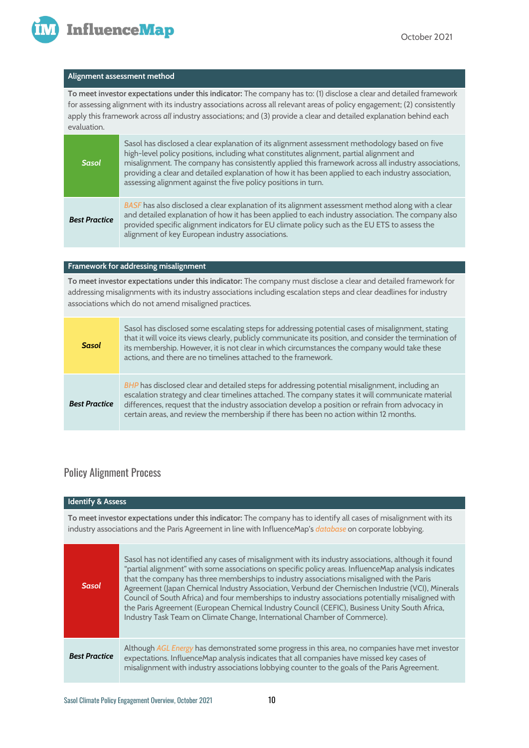

#### **Alignment assessment method**

**To meet investor expectations under this indicator:** The company has to: (1) disclose a clear and detailed framework for assessing alignment with its industry associations across all relevant areas of policy engagement; (2) consistently apply this framework across *all* industry associations; and (3) provide a clear and detailed explanation behind each evaluation.

| <b>Sasol</b>         | Sasol has disclosed a clear explanation of its alignment assessment methodology based on five<br>high-level policy positions, including what constitutes alignment, partial alignment and<br>misalignment. The company has consistently applied this framework across all industry associations,<br>providing a clear and detailed explanation of how it has been applied to each industry association,<br>assessing alignment against the five policy positions in turn. |
|----------------------|---------------------------------------------------------------------------------------------------------------------------------------------------------------------------------------------------------------------------------------------------------------------------------------------------------------------------------------------------------------------------------------------------------------------------------------------------------------------------|
| <b>Best Practice</b> | BASF has also disclosed a clear explanation of its alignment assessment method along with a clear<br>and detailed explanation of how it has been applied to each industry association. The company also<br>provided specific alignment indicators for EU climate policy such as the EU ETS to assess the<br>alignment of key European industry associations.                                                                                                              |

#### **Framework for addressing misalignment**

**To meet investor expectations under this indicator:** The company must disclose a clear and detailed framework for addressing misalignments with its industry associations including escalation steps and clear deadlines for industry associations which do not amend misaligned practices.

| <b>Sasol</b>         | Sasol has disclosed some escalating steps for addressing potential cases of misalignment, stating<br>that it will voice its views clearly, publicly communicate its position, and consider the termination of<br>its membership. However, it is not clear in which circumstances the company would take these<br>actions, and there are no timelines attached to the framework.                    |
|----------------------|----------------------------------------------------------------------------------------------------------------------------------------------------------------------------------------------------------------------------------------------------------------------------------------------------------------------------------------------------------------------------------------------------|
| <b>Best Practice</b> | BHP has disclosed clear and detailed steps for addressing potential misalignment, including an<br>escalation strategy and clear timelines attached. The company states it will communicate material<br>differences, request that the industry association develop a position or refrain from advocacy in<br>certain areas, and review the membership if there has been no action within 12 months. |

## Policy Alignment Process

| <b>Identify &amp; Assess</b> |                                                                                                                                                                                                                                                                                                                                                                                                                                                                                                                                                                                                                                                                                                   |
|------------------------------|---------------------------------------------------------------------------------------------------------------------------------------------------------------------------------------------------------------------------------------------------------------------------------------------------------------------------------------------------------------------------------------------------------------------------------------------------------------------------------------------------------------------------------------------------------------------------------------------------------------------------------------------------------------------------------------------------|
|                              | To meet investor expectations under this indicator: The company has to identify all cases of misalignment with its<br>industry associations and the Paris Agreement in line with InfluenceMap's database on corporate lobbying.                                                                                                                                                                                                                                                                                                                                                                                                                                                                   |
| <b>Sasol</b>                 | Sasol has not identified any cases of misalignment with its industry associations, although it found<br>"partial alignment" with some associations on specific policy areas. InfluenceMap analysis indicates<br>that the company has three memberships to industry associations misaligned with the Paris<br>Agreement (Japan Chemical Industry Association, Verbund der Chemischen Industrie (VCI), Minerals<br>Council of South Africa) and four memberships to industry associations potentially misaligned with<br>the Paris Agreement (European Chemical Industry Council (CEFIC), Business Unity South Africa,<br>Industry Task Team on Climate Change, International Chamber of Commerce). |
| <b>Best Practice</b>         | Although AGL Energy has demonstrated some progress in this area, no companies have met investor<br>expectations. InfluenceMap analysis indicates that all companies have missed key cases of<br>misalignment with industry associations lobbying counter to the goals of the Paris Agreement.                                                                                                                                                                                                                                                                                                                                                                                                     |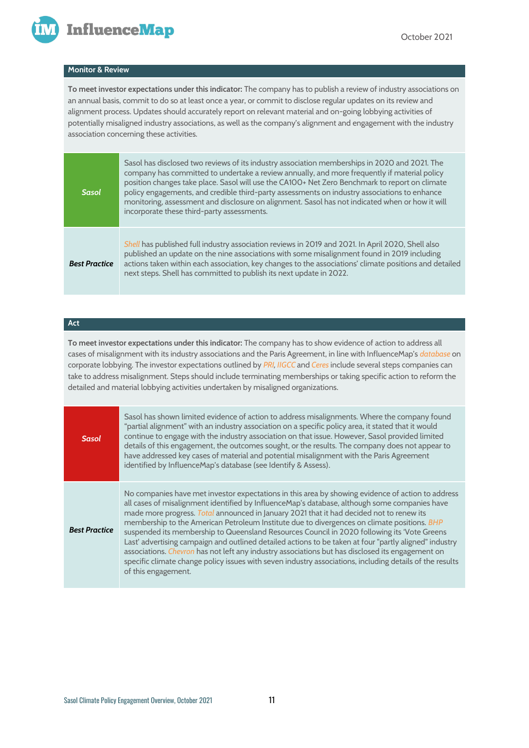

#### **Monitor & Review**

**To meet investor expectations under this indicator:** The company has to publish a review of industry associations on an annual basis, commit to do so at least once a year, or commit to disclose regular updates on its review and alignment process. Updates should accurately report on relevant material and on-going lobbying activities of potentially misaligned industry associations, as well as the company's alignment and engagement with the industry association concerning these activities.

| <b>Sasol</b>         | Sasol has disclosed two reviews of its industry association memberships in 2020 and 2021. The<br>company has committed to undertake a review annually, and more frequently if material policy<br>position changes take place. Sasol will use the CA100+ Net Zero Benchmark to report on climate<br>policy engagements, and credible third-party assessments on industry associations to enhance<br>monitoring, assessment and disclosure on alignment. Sasol has not indicated when or how it will<br>incorporate these third-party assessments. |
|----------------------|--------------------------------------------------------------------------------------------------------------------------------------------------------------------------------------------------------------------------------------------------------------------------------------------------------------------------------------------------------------------------------------------------------------------------------------------------------------------------------------------------------------------------------------------------|
| <b>Best Practice</b> | Shell has published full industry association reviews in 2019 and 2021. In April 2020, Shell also<br>published an update on the nine associations with some misalignment found in 2019 including<br>actions taken within each association, key changes to the associations' climate positions and detailed<br>next steps. Shell has committed to publish its next update in 2022.                                                                                                                                                                |

#### **Act**

**To meet investor expectations under this indicator:** The company has to show evidence of action to address all cases of misalignment with its industry associations and the Paris Agreement, in line with InfluenceMap's *[database](https://influencemap.org/ca100-rankings)* on corporate lobbying. The investor expectations outlined by *[PRI,](https://www.unpri.org/Uploads/i/k/t/Investor-Expectations-on-Corporate-Climate-Lobbying_en-GB.pdf) [IIGCC](https://www.iigcc.org/download/investor-expectations-on-corporate-lobbying/?wpdmdl=1830&refresh=5e941e9842c431586765464)* and *[Ceres](https://www.ceres.org/sites/default/files/INVESTOR%20EXPECTATIONS%20ON%20CORPORATE%20LOBBYING%20ON%20CLIMATE%20CHANGE%209.19.pdf)* include several steps companies can take to address misalignment. Steps should include terminating memberships or taking specific action to reform the detailed and material lobbying activities undertaken by misaligned organizations.

| Sasol                | Sasol has shown limited evidence of action to address misalignments. Where the company found<br>"partial alignment" with an industry association on a specific policy area, it stated that it would<br>continue to engage with the industry association on that issue. However, Sasol provided limited<br>details of this engagement, the outcomes sought, or the results. The company does not appear to<br>have addressed key cases of material and potential misalignment with the Paris Agreement<br>identified by InfluenceMap's database (see Identify & Assess).                                                                                                                                                                                                                                                                       |
|----------------------|-----------------------------------------------------------------------------------------------------------------------------------------------------------------------------------------------------------------------------------------------------------------------------------------------------------------------------------------------------------------------------------------------------------------------------------------------------------------------------------------------------------------------------------------------------------------------------------------------------------------------------------------------------------------------------------------------------------------------------------------------------------------------------------------------------------------------------------------------|
| <b>Best Practice</b> | No companies have met investor expectations in this area by showing evidence of action to address<br>all cases of misalignment identified by InfluenceMap's database, although some companies have<br>made more progress. Total announced in January 2021 that it had decided not to renew its<br>membership to the American Petroleum Institute due to divergences on climate positions. BHP<br>suspended its membership to Queensland Resources Council in 2020 following its 'Vote Greens<br>Last' advertising campaign and outlined detailed actions to be taken at four "partly aligned" industry<br>associations. Chevron has not left any industry associations but has disclosed its engagement on<br>specific climate change policy issues with seven industry associations, including details of the results<br>of this engagement. |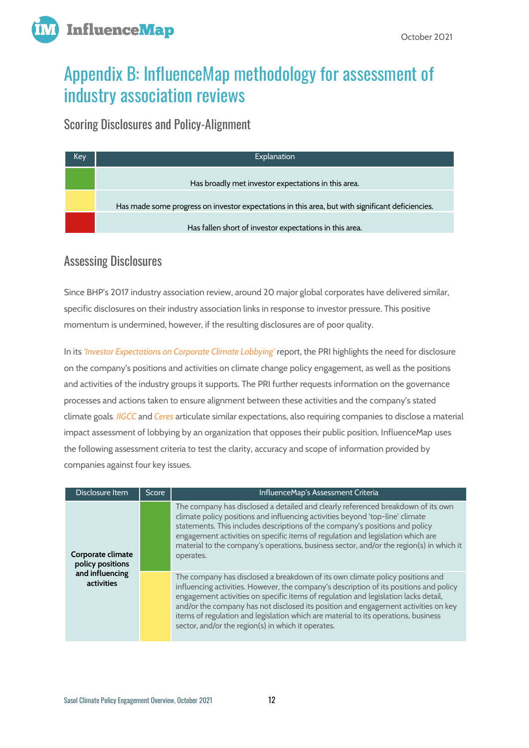



# Appendix B: InfluenceMap methodology for assessment of industry association reviews

Scoring Disclosures and Policy-Alignment

| Explanation                                                                                      |
|--------------------------------------------------------------------------------------------------|
| Has broadly met investor expectations in this area.                                              |
|                                                                                                  |
| Has made some progress on investor expectations in this area, but with significant deficiencies. |
| Has fallen short of investor expectations in this area.                                          |
|                                                                                                  |

## Assessing Disclosures

Since BHP's 2017 industry association review, around 20 major global corporates have delivered similar, specific disclosures on their industry association links in response to investor pressure. This positive momentum is undermined, however, if the resulting disclosures are of poor quality.

In its *['Investor Expectations on Corporate Climate Lobbying'](https://www.unpri.org/Uploads/i/k/t/Investor-Expectations-on-Corporate-Climate-Lobbying_en-GB.pdf)* report, the PRI highlights the need for disclosure on the company's positions and activities on climate change policy engagement, as well as the positions and activities of the industry groups it supports. The PRI further requests information on the governance processes and actions taken to ensure alignment between these activities and the company's stated climate goals*[. IIGCC](https://www.iigcc.org/download/investor-expectations-on-corporate-lobbying/?wpdmdl=1830&refresh=5e941e9842c431586765464)* and *[Ceres](https://www.ceres.org/sites/default/files/INVESTOR%20EXPECTATIONS%20ON%20CORPORATE%20LOBBYING%20ON%20CLIMATE%20CHANGE%209.19.pdf)* articulate similar expectations, also requiring companies to disclose a material impact assessment of lobbying by an organization that opposes their public position. InfluenceMap uses the following assessment criteria to test the clarity, accuracy and scope of information provided by companies against four key issues.

| Disclosure Item                       | <b>Score</b> | InfluenceMap's Assessment Criteria                                                                                                                                                                                                                                                                                                                                                                                                                                                               |  |  |  |
|---------------------------------------|--------------|--------------------------------------------------------------------------------------------------------------------------------------------------------------------------------------------------------------------------------------------------------------------------------------------------------------------------------------------------------------------------------------------------------------------------------------------------------------------------------------------------|--|--|--|
| Corporate climate<br>policy positions |              | The company has disclosed a detailed and clearly referenced breakdown of its own<br>climate policy positions and influencing activities beyond 'top-line' climate<br>statements. This includes descriptions of the company's positions and policy<br>engagement activities on specific items of regulation and legislation which are<br>material to the company's operations, business sector, and/or the region(s) in which it<br>operates.                                                     |  |  |  |
| and influencing<br>activities         |              | The company has disclosed a breakdown of its own climate policy positions and<br>influencing activities. However, the company's description of its positions and policy<br>engagement activities on specific items of regulation and legislation lacks detail,<br>and/or the company has not disclosed its position and engagement activities on key<br>items of regulation and legislation which are material to its operations, business<br>sector, and/or the region(s) in which it operates. |  |  |  |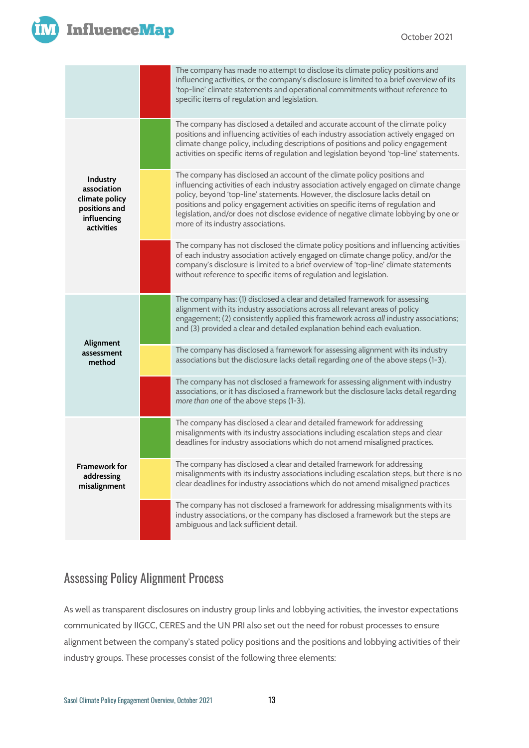

## **InfluenceMap**

|                                                                                         | The company has made no attempt to disclose its climate policy positions and<br>influencing activities, or the company's disclosure is limited to a brief overview of its<br>'top-line' climate statements and operational commitments without reference to<br>specific items of regulation and legislation.                                                                                                                                                         |  |  |  |
|-----------------------------------------------------------------------------------------|----------------------------------------------------------------------------------------------------------------------------------------------------------------------------------------------------------------------------------------------------------------------------------------------------------------------------------------------------------------------------------------------------------------------------------------------------------------------|--|--|--|
|                                                                                         | The company has disclosed a detailed and accurate account of the climate policy<br>positions and influencing activities of each industry association actively engaged on<br>climate change policy, including descriptions of positions and policy engagement<br>activities on specific items of regulation and legislation beyond 'top-line' statements.                                                                                                             |  |  |  |
| Industry<br>association<br>climate policy<br>positions and<br>influencing<br>activities | The company has disclosed an account of the climate policy positions and<br>influencing activities of each industry association actively engaged on climate change<br>policy, beyond 'top-line' statements. However, the disclosure lacks detail on<br>positions and policy engagement activities on specific items of regulation and<br>legislation, and/or does not disclose evidence of negative climate lobbying by one or<br>more of its industry associations. |  |  |  |
|                                                                                         | The company has not disclosed the climate policy positions and influencing activities<br>of each industry association actively engaged on climate change policy, and/or the<br>company's disclosure is limited to a brief overview of 'top-line' climate statements<br>without reference to specific items of regulation and legislation.                                                                                                                            |  |  |  |
|                                                                                         | The company has: (1) disclosed a clear and detailed framework for assessing<br>alignment with its industry associations across all relevant areas of policy<br>engagement; (2) consistently applied this framework across all industry associations;<br>and (3) provided a clear and detailed explanation behind each evaluation.                                                                                                                                    |  |  |  |
| Alignment<br>assessment<br>method                                                       | The company has disclosed a framework for assessing alignment with its industry<br>associations but the disclosure lacks detail regarding one of the above steps (1-3).                                                                                                                                                                                                                                                                                              |  |  |  |
|                                                                                         | The company has not disclosed a framework for assessing alignment with industry<br>associations, or it has disclosed a framework but the disclosure lacks detail regarding<br>more than one of the above steps (1-3).                                                                                                                                                                                                                                                |  |  |  |
|                                                                                         | The company has disclosed a clear and detailed framework for addressing<br>misalignments with its industry associations including escalation steps and clear<br>deadlines for industry associations which do not amend misaligned practices.                                                                                                                                                                                                                         |  |  |  |
| <b>Framework for</b><br>addressing<br>misalignment                                      | The company has disclosed a clear and detailed framework for addressing<br>misalignments with its industry associations including escalation steps, but there is no<br>clear deadlines for industry associations which do not amend misaligned practices                                                                                                                                                                                                             |  |  |  |
|                                                                                         | The company has not disclosed a framework for addressing misalignments with its<br>industry associations, or the company has disclosed a framework but the steps are<br>ambiguous and lack sufficient detail.                                                                                                                                                                                                                                                        |  |  |  |

## Assessing Policy Alignment Process

As well as transparent disclosures on industry group links and lobbying activities, the investor expectations communicated by IIGCC, CERES and the UN PRI also set out the need for robust processes to ensure alignment between the company's stated policy positions and the positions and lobbying activities of their industry groups. These processes consist of the following three elements: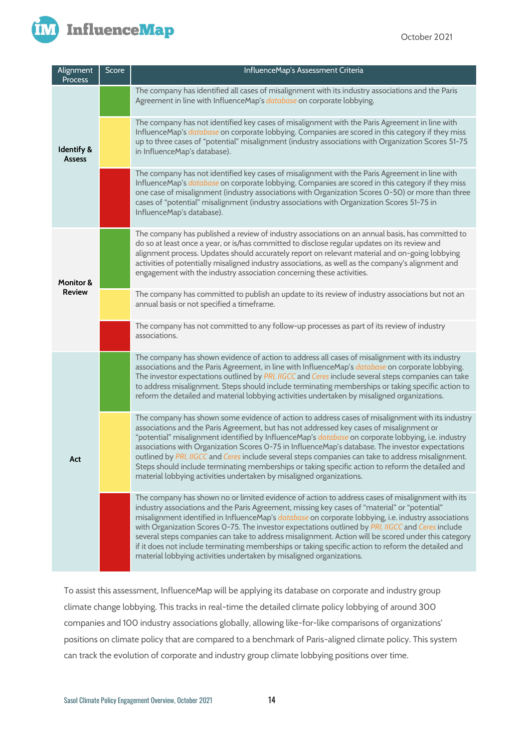

| Alignment<br>Process                   | Score | InfluenceMap's Assessment Criteria                                                                                                                                                                                                                                                                                                                                                                                                                                                                                                                                                                                                                                                                   |
|----------------------------------------|-------|------------------------------------------------------------------------------------------------------------------------------------------------------------------------------------------------------------------------------------------------------------------------------------------------------------------------------------------------------------------------------------------------------------------------------------------------------------------------------------------------------------------------------------------------------------------------------------------------------------------------------------------------------------------------------------------------------|
| <b>Identify &amp;</b><br><b>Assess</b> |       | The company has identified all cases of misalignment with its industry associations and the Paris<br>Agreement in line with InfluenceMap's database on corporate lobbying.                                                                                                                                                                                                                                                                                                                                                                                                                                                                                                                           |
|                                        |       | The company has not identified key cases of misalignment with the Paris Agreement in line with<br>InfluenceMap's database on corporate lobbying. Companies are scored in this category if they miss<br>up to three cases of "potential" misalignment (industry associations with Organization Scores 51-75<br>in InfluenceMap's database).                                                                                                                                                                                                                                                                                                                                                           |
|                                        |       | The company has not identified key cases of misalignment with the Paris Agreement in line with<br>InfluenceMap's database on corporate lobbying. Companies are scored in this category if they miss<br>one case of misalignment (industry associations with Organization Scores 0-50) or more than three<br>cases of "potential" misalignment (industry associations with Organization Scores 51-75 in<br>InfluenceMap's database).                                                                                                                                                                                                                                                                  |
| <b>Monitor &amp;</b><br><b>Review</b>  |       | The company has published a review of industry associations on an annual basis, has committed to<br>do so at least once a year, or is/has committed to disclose regular updates on its review and<br>alignment process. Updates should accurately report on relevant material and on-going lobbying<br>activities of potentially misaligned industry associations, as well as the company's alignment and<br>engagement with the industry association concerning these activities.                                                                                                                                                                                                                   |
|                                        |       | The company has committed to publish an update to its review of industry associations but not an<br>annual basis or not specified a timeframe.                                                                                                                                                                                                                                                                                                                                                                                                                                                                                                                                                       |
|                                        |       | The company has not committed to any follow-up processes as part of its review of industry<br>associations.                                                                                                                                                                                                                                                                                                                                                                                                                                                                                                                                                                                          |
| Act                                    |       | The company has shown evidence of action to address all cases of misalignment with its industry<br>associations and the Paris Agreement, in line with InfluenceMap's database on corporate lobbying.<br>The investor expectations outlined by PRI, IIGCC and Ceres include several steps companies can take<br>to address misalignment. Steps should include terminating memberships or taking specific action to<br>reform the detailed and material lobbying activities undertaken by misaligned organizations.                                                                                                                                                                                    |
|                                        |       | The company has shown some evidence of action to address cases of misalignment with its industry<br>associations and the Paris Agreement, but has not addressed key cases of misalignment or<br>"potential" misalignment identified by InfluenceMap's database on corporate lobbying, i.e. industry<br>associations with Organization Scores 0-75 in InfluenceMap's database. The investor expectations<br>outlined by PRI, IIGCC and Ceres include several steps companies can take to address misalignment.<br>Steps should include terminating memberships or taking specific action to reform the detailed and<br>material lobbying activities undertaken by misaligned organizations.           |
|                                        |       | The company has shown no or limited evidence of action to address cases of misalignment with its<br>industry associations and the Paris Agreement, missing key cases of "material" or "potential"<br>misalignment identified in InfluenceMap's database on corporate lobbying, i.e. industry associations<br>with Organization Scores O-75. The investor expectations outlined by PRI, IIGCC and Ceres include<br>several steps companies can take to address misalignment. Action will be scored under this category<br>if it does not include terminating memberships or taking specific action to reform the detailed and<br>material lobbying activities undertaken by misaligned organizations. |

To assist this assessment, InfluenceMap will be applying its database on corporate and industry group climate change lobbying. This tracks in real-time the detailed climate policy lobbying of around 300 companies and 100 industry associations globally, allowing like-for-like comparisons of organizations' positions on climate policy that are compared to a benchmark of Paris-aligned climate policy. This system can track the evolution of corporate and industry group climate lobbying positions over time.